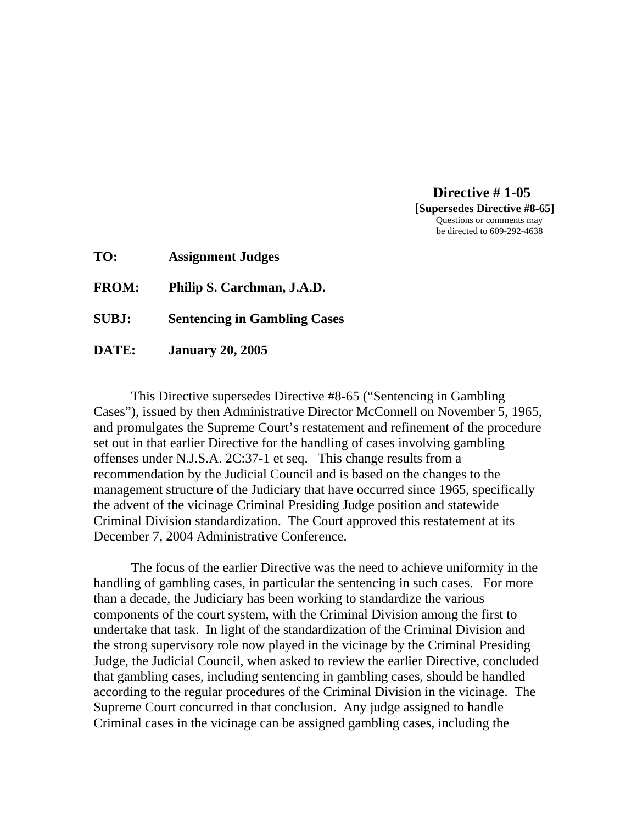**Directive # 1-05 [Supersedes Directive #8-65]**  Questions or comments may be directed to 609-292-4638

**TO: Assignment Judges** 

**FROM: Philip S. Carchman, J.A.D.** 

**SUBJ: Sentencing in Gambling Cases** 

**DATE: January 20, 2005** 

 This Directive supersedes Directive #8-65 ("Sentencing in Gambling Cases"), issued by then Administrative Director McConnell on November 5, 1965, and promulgates the Supreme Court's restatement and refinement of the procedure set out in that earlier Directive for the handling of cases involving gambling offenses under N.J.S.A. 2C:37-1 et seq. This change results from a recommendation by the Judicial Council and is based on the changes to the management structure of the Judiciary that have occurred since 1965, specifically the advent of the vicinage Criminal Presiding Judge position and statewide Criminal Division standardization. The Court approved this restatement at its December 7, 2004 Administrative Conference.

 The focus of the earlier Directive was the need to achieve uniformity in the handling of gambling cases, in particular the sentencing in such cases. For more than a decade, the Judiciary has been working to standardize the various components of the court system, with the Criminal Division among the first to undertake that task. In light of the standardization of the Criminal Division and the strong supervisory role now played in the vicinage by the Criminal Presiding Judge, the Judicial Council, when asked to review the earlier Directive, concluded that gambling cases, including sentencing in gambling cases, should be handled according to the regular procedures of the Criminal Division in the vicinage. The Supreme Court concurred in that conclusion. Any judge assigned to handle Criminal cases in the vicinage can be assigned gambling cases, including the